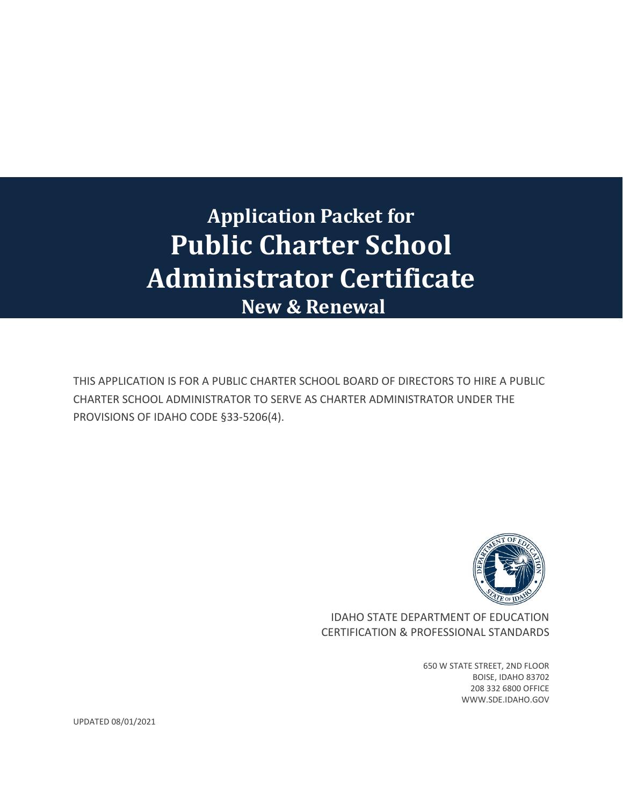# **Application Packet for Public Charter School Administrator Certificate New & Renewal**

THIS APPLICATION IS FOR A PUBLIC CHARTER SCHOOL BOARD OF DIRECTORS TO HIRE A PUBLIC CHARTER SCHOOL ADMINISTRATOR TO SERVE AS CHARTER ADMINISTRATOR UNDER THE PROVISIONS OF IDAHO CODE §33-5206(4).



IDAHO STATE DEPARTMENT OF EDUCATION CERTIFICATION & PROFESSIONAL STANDARDS

> 650 W STATE STREET, 2ND FLOOR BOISE, IDAHO 83702 208 332 6800 OFFICE <WWW.SDE.IDAHO.GOV>

UPDATED 08/01/2021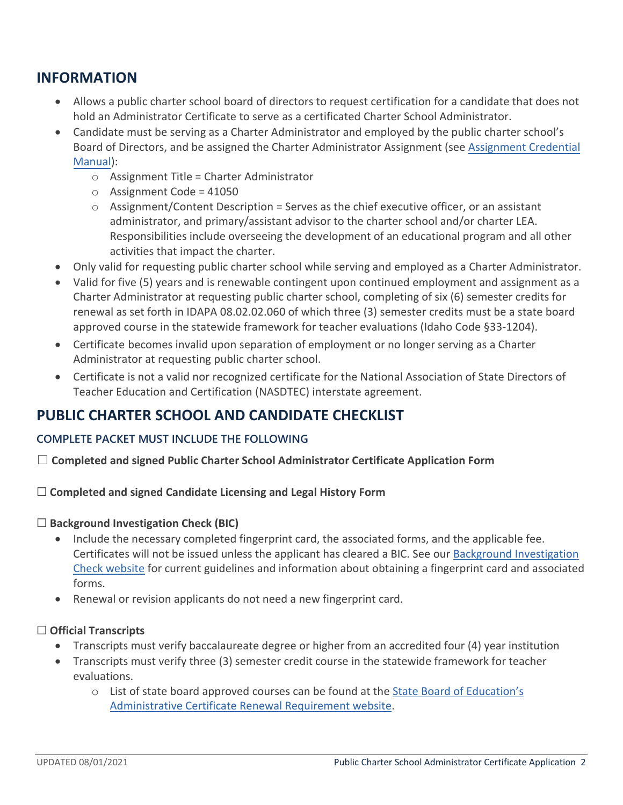## **INFORMATION**

- • Allows a public charter school board of directors to request certification for a candidate that does not hold an Administrator Certificate to serve as a certificated Charter School Administrator.
- • Candidate must be serving as a Charter Administrator and employed by the public charter school's Board of Directors, and be assigned the Charter Administrator Assignment (se[e Assignment Credential](https://sde.idaho.gov/cert-psc/shared/manuals/2021-2022-SDE-Assignment-Credential-Manual.xlsx) [Manual\)](https://sde.idaho.gov/cert-psc/shared/manuals/2021-2022-SDE-Assignment-Credential-Manual.xlsx):
	- $\circ$  Assignment Title = Charter Administrator
	- $\circ$  Assignment Code = 41050
	- Responsibilities include overseeing the development of an educational program and all other o Assignment/Content Description = Serves as the chief executive officer, or an assistant administrator, and primary/assistant advisor to the charter school and/or charter LEA. activities that impact the charter.
- Only valid for requesting public charter school while serving and employed as a Charter Administrator.
- Charter Administrator at requesting public charter school, completing of six (6) semester credits for • Valid for five (5) years and is renewable contingent upon continued employment and assignment as a renewal as set forth in IDAPA 08.02.02.060 of which three (3) semester credits must be a state board approved course in the statewide framework for teacher evaluations (Idaho Code §33-1204).
- Certificate becomes invalid upon separation of employment or no longer serving as a Charter Administrator at requesting public charter school.
- • Certificate is not a valid nor recognized certificate for the National Association of State Directors of Teacher Education and Certification (NASDTEC) interstate agreement.

# **PUBLIC CHARTER SCHOOL AND CANDIDATE CHECKLIST**

### **COMPLETE PACKET MUST INCLUDE THE FOLLOWING**

☐ **Completed and signed Public Charter School Administrator Certificate Application Form**

☐ **Completed and signed Candidate Licensing and Legal History Form**

☐ **Background Investigation Check (BIC)**

- • Include the necessary completed fingerprint card, the associated forms, and the applicable fee. [Check website](https://www.sde.idaho.gov/cert-psc/bic/) for current guidelines and information about obtaining a fingerprint card and associated Certificates will not be issued unless the applicant has cleared a BIC. See our [Background Investigation](https://www.sde.idaho.gov/cert-psc/bic/) forms.
- Renewal or revision applicants do not need a new fingerprint card.

#### ☐ **Official Transcripts**

- Transcripts must verify baccalaureate degree or higher from an accredited four (4) year institution
- Transcripts must verify three (3) semester credit course in the statewide framework for teacher evaluations.
	- $\circ$  List of state board approved courses can be found at the [State Board of Education's](https://boardofed.idaho.gov/k-12-education/educator-effectiveness/administrator-recertification-renewal-requirement/) [Administrative Certificate Renewal Requirement website.](https://boardofed.idaho.gov/k-12-education/educator-effectiveness/administrator-recertification-renewal-requirement/)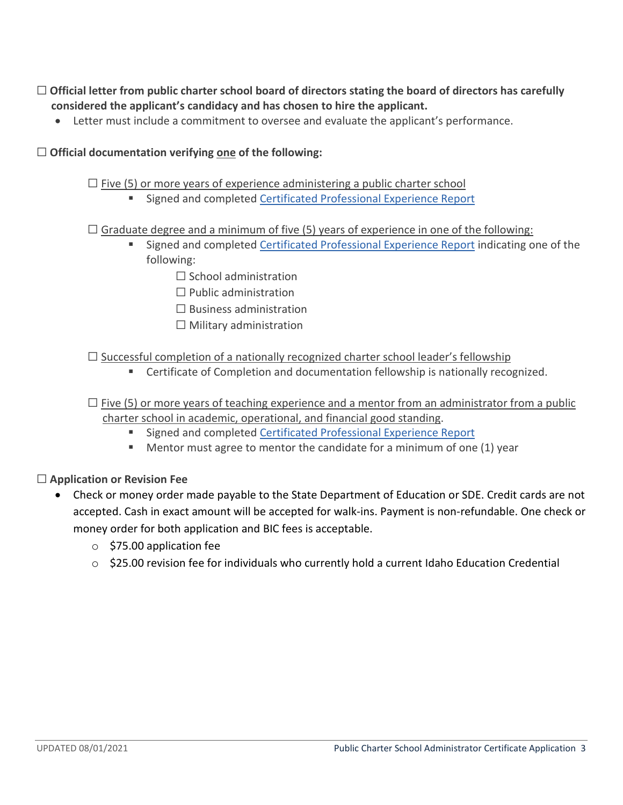- ☐ **Official letter from public charter school board of directors stating the board of directors has carefully considered the applicant's candidacy and has chosen to hire the applicant.** 
	- Letter must include a commitment to oversee and evaluate the applicant's performance.

## ☐ **Official documentation verifying one of the following:**

 $\Box$  Five (5) or more years of experience administering a public charter school

Signed and completed [Certificated Professional Experience Report](http://sde.idaho.gov/cert-psc/shared/forms/Certificated-Experience-Report.pdf) 

 $\Box$  Graduate degree and a minimum of five (5) years of experience in one of the following:

- Signed and completed [Certificated Professional Experience Report](http://sde.idaho.gov/cert-psc/shared/forms/Certificated-Experience-Report.pdf) indicating one of the following:
	- $\Box$  School administration
	- ☐ Public administration
	- $\Box$  Business administration
	- ☐ Military administration

 $\Box$  Successful completion of a nationally recognized charter school leader's fellowship

**EXEC** Certificate of Completion and documentation fellowship is nationally recognized.

- Signed and completed [Certificated Professional Experience Report](http://sde.idaho.gov/cert-psc/shared/forms/Certificated-Experience-Report.pdf)
- Mentor must agree to mentor the candidate for a minimum of one (1) year

## ☐ **Application or Revision Fee**

- Check or money order made payable to the State Department of Education or SDE. Credit cards are not accepted. Cash in exact amount will be accepted for walk-ins. Payment is non-refundable. One check or money order for both application and BIC fees is acceptable.
	- $\circ$  \$75.00 application fee
	- $\circ$  \$25.00 revision fee for individuals who currently hold a current Idaho Education Credential

 $\Box$  Five (5) or more years of teaching experience and a mentor from an administrator from a public charter school in academic, operational, and financial good standing.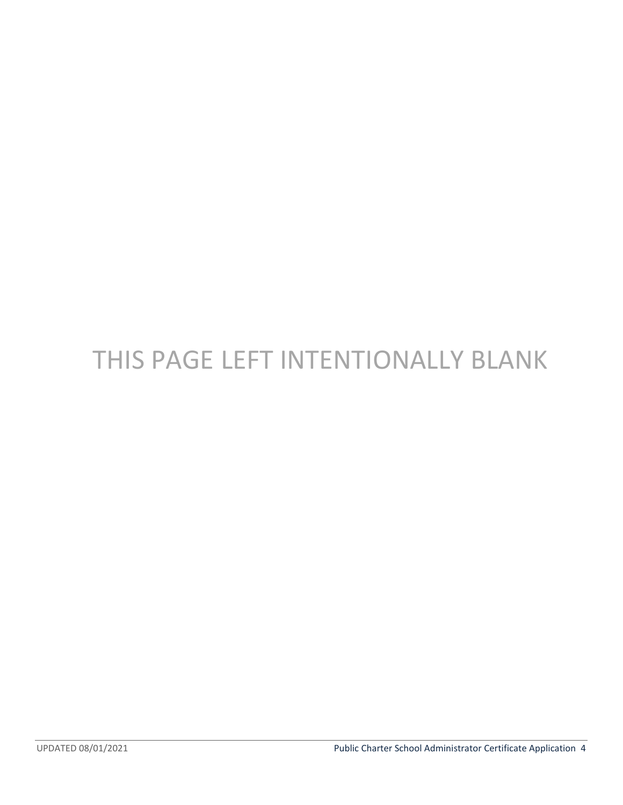# THIS PAGE LEFT INTENTIONALLY BLANK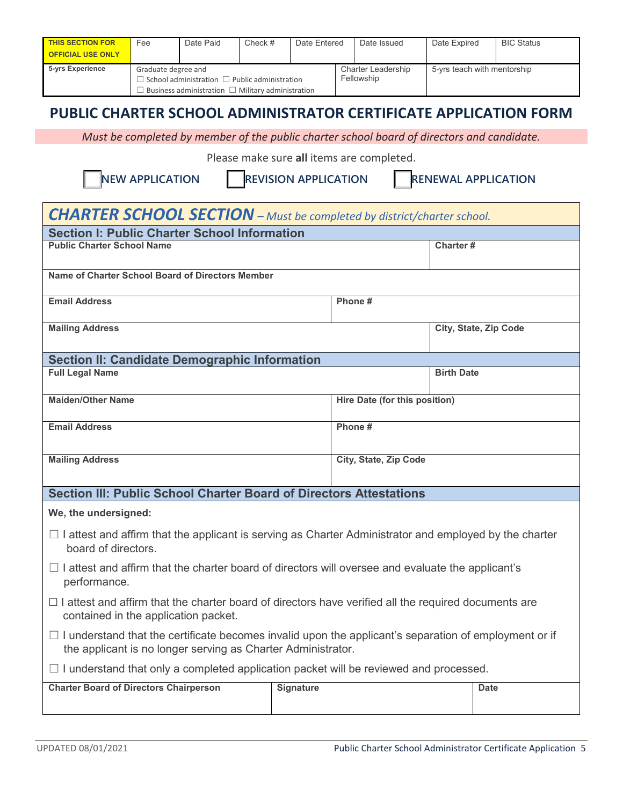| <b>THIS SECTION FOR</b><br><b>OFFICIAL USE ONLY</b>                                                                                                                          | Fee                                                                                      | Date Paid                                                                                                                  | Check $#$ | Date Entered     | Date Issued                      |        | Date Expired                | <b>BIC Status</b> |  |  |  |  |
|------------------------------------------------------------------------------------------------------------------------------------------------------------------------------|------------------------------------------------------------------------------------------|----------------------------------------------------------------------------------------------------------------------------|-----------|------------------|----------------------------------|--------|-----------------------------|-------------------|--|--|--|--|
| 5-yrs Experience                                                                                                                                                             | Graduate degree and                                                                      | $\Box$ School administration $\Box$ Public administration<br>$\Box$ Business administration $\Box$ Military administration |           |                  | Charter Leadership<br>Fellowship |        | 5-yrs teach with mentorship |                   |  |  |  |  |
| <b>PUBLIC CHARTER SCHOOL ADMINISTRATOR CERTIFICATE APPLICATION FORM</b>                                                                                                      |                                                                                          |                                                                                                                            |           |                  |                                  |        |                             |                   |  |  |  |  |
| Must be completed by member of the public charter school board of directors and candidate.                                                                                   |                                                                                          |                                                                                                                            |           |                  |                                  |        |                             |                   |  |  |  |  |
| Please make sure all items are completed.<br><b>NEW APPLICATION</b><br><b>REVISION APPLICATION</b><br><b>RENEWAL APPLICATION</b>                                             |                                                                                          |                                                                                                                            |           |                  |                                  |        |                             |                   |  |  |  |  |
| <b>CHARTER SCHOOL SECTION</b> – Must be completed by district/charter school.                                                                                                |                                                                                          |                                                                                                                            |           |                  |                                  |        |                             |                   |  |  |  |  |
|                                                                                                                                                                              | <b>Section I: Public Charter School Information</b><br><b>Public Charter School Name</b> |                                                                                                                            |           |                  |                                  |        | Charter#                    |                   |  |  |  |  |
|                                                                                                                                                                              |                                                                                          |                                                                                                                            |           |                  |                                  |        |                             |                   |  |  |  |  |
| Name of Charter School Board of Directors Member                                                                                                                             |                                                                                          |                                                                                                                            |           |                  |                                  |        |                             |                   |  |  |  |  |
| <b>Email Address</b>                                                                                                                                                         |                                                                                          |                                                                                                                            |           |                  |                                  | Phone# |                             |                   |  |  |  |  |
| <b>Mailing Address</b>                                                                                                                                                       |                                                                                          |                                                                                                                            |           |                  |                                  |        | City, State, Zip Code       |                   |  |  |  |  |
| <b>Section II: Candidate Demographic Information</b>                                                                                                                         |                                                                                          |                                                                                                                            |           |                  |                                  |        |                             |                   |  |  |  |  |
| <b>Full Legal Name</b>                                                                                                                                                       |                                                                                          |                                                                                                                            |           |                  |                                  |        | <b>Birth Date</b>           |                   |  |  |  |  |
| <b>Maiden/Other Name</b>                                                                                                                                                     |                                                                                          |                                                                                                                            |           |                  | Hire Date (for this position)    |        |                             |                   |  |  |  |  |
| <b>Email Address</b>                                                                                                                                                         |                                                                                          |                                                                                                                            |           |                  | Phone#                           |        |                             |                   |  |  |  |  |
| <b>Mailing Address</b>                                                                                                                                                       |                                                                                          |                                                                                                                            |           |                  | City, State, Zip Code            |        |                             |                   |  |  |  |  |
|                                                                                                                                                                              |                                                                                          |                                                                                                                            |           |                  |                                  |        |                             |                   |  |  |  |  |
| Section III: Public School Charter Board of Directors Attestations                                                                                                           |                                                                                          |                                                                                                                            |           |                  |                                  |        |                             |                   |  |  |  |  |
| We, the undersigned:<br>$\Box$ I attest and affirm that the applicant is serving as Charter Administrator and employed by the charter<br>board of directors.                 |                                                                                          |                                                                                                                            |           |                  |                                  |        |                             |                   |  |  |  |  |
| $\Box$ I attest and affirm that the charter board of directors will oversee and evaluate the applicant's<br>performance.                                                     |                                                                                          |                                                                                                                            |           |                  |                                  |        |                             |                   |  |  |  |  |
| $\Box$ I attest and affirm that the charter board of directors have verified all the required documents are<br>contained in the application packet.                          |                                                                                          |                                                                                                                            |           |                  |                                  |        |                             |                   |  |  |  |  |
| $\Box$ I understand that the certificate becomes invalid upon the applicant's separation of employment or if<br>the applicant is no longer serving as Charter Administrator. |                                                                                          |                                                                                                                            |           |                  |                                  |        |                             |                   |  |  |  |  |
| $\Box$ I understand that only a completed application packet will be reviewed and processed.                                                                                 |                                                                                          |                                                                                                                            |           |                  |                                  |        |                             |                   |  |  |  |  |
| <b>Charter Board of Directors Chairperson</b>                                                                                                                                |                                                                                          |                                                                                                                            |           | <b>Signature</b> |                                  |        |                             | <b>Date</b>       |  |  |  |  |
|                                                                                                                                                                              |                                                                                          |                                                                                                                            |           |                  |                                  |        |                             |                   |  |  |  |  |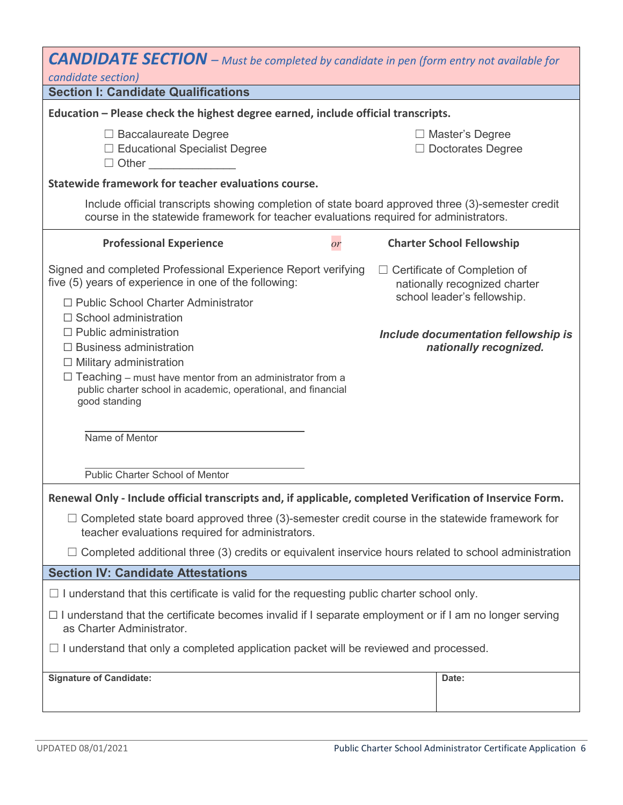| <b>CANDIDATE SECTION</b> - Must be completed by candidate in pen (form entry not available for                                                                                                                                                        |    |                                                                                                     |  |  |  |  |  |  |  |
|-------------------------------------------------------------------------------------------------------------------------------------------------------------------------------------------------------------------------------------------------------|----|-----------------------------------------------------------------------------------------------------|--|--|--|--|--|--|--|
| candidate section)<br><b>Section I: Candidate Qualifications</b>                                                                                                                                                                                      |    |                                                                                                     |  |  |  |  |  |  |  |
| Education - Please check the highest degree earned, include official transcripts.                                                                                                                                                                     |    |                                                                                                     |  |  |  |  |  |  |  |
| $\Box$ Baccalaureate Degree<br>□ Educational Specialist Degree<br>$\Box$ Other<br>Statewide framework for teacher evaluations course.                                                                                                                 |    | $\Box$ Master's Degree<br>□ Doctorates Degree                                                       |  |  |  |  |  |  |  |
|                                                                                                                                                                                                                                                       |    |                                                                                                     |  |  |  |  |  |  |  |
| Include official transcripts showing completion of state board approved three (3)-semester credit<br>course in the statewide framework for teacher evaluations required for administrators.                                                           |    |                                                                                                     |  |  |  |  |  |  |  |
| <b>Professional Experience</b>                                                                                                                                                                                                                        | or | <b>Charter School Fellowship</b>                                                                    |  |  |  |  |  |  |  |
| Signed and completed Professional Experience Report verifying<br>five (5) years of experience in one of the following:<br>□ Public School Charter Administrator<br>$\Box$ School administration                                                       |    | $\Box$ Certificate of Completion of<br>nationally recognized charter<br>school leader's fellowship. |  |  |  |  |  |  |  |
| $\Box$ Public administration<br>$\Box$ Business administration<br>$\Box$ Military administration<br>$\Box$ Teaching – must have mentor from an administrator from a<br>public charter school in academic, operational, and financial<br>good standing |    | Include documentation fellowship is<br>nationally recognized.                                       |  |  |  |  |  |  |  |
| Name of Mentor                                                                                                                                                                                                                                        |    |                                                                                                     |  |  |  |  |  |  |  |
| Public Charter School of Mentor                                                                                                                                                                                                                       |    |                                                                                                     |  |  |  |  |  |  |  |
| Renewal Only - Include official transcripts and, if applicable, completed Verification of Inservice Form.                                                                                                                                             |    |                                                                                                     |  |  |  |  |  |  |  |
| $\Box$ Completed state board approved three (3)-semester credit course in the statewide framework for<br>teacher evaluations required for administrators.                                                                                             |    |                                                                                                     |  |  |  |  |  |  |  |
| $\Box$ Completed additional three (3) credits or equivalent inservice hours related to school administration                                                                                                                                          |    |                                                                                                     |  |  |  |  |  |  |  |
| <b>Section IV: Candidate Attestations</b>                                                                                                                                                                                                             |    |                                                                                                     |  |  |  |  |  |  |  |
| $\Box$ I understand that this certificate is valid for the requesting public charter school only.                                                                                                                                                     |    |                                                                                                     |  |  |  |  |  |  |  |
| $\Box$ I understand that the certificate becomes invalid if I separate employment or if I am no longer serving<br>as Charter Administrator.                                                                                                           |    |                                                                                                     |  |  |  |  |  |  |  |
| $\Box$ I understand that only a completed application packet will be reviewed and processed.                                                                                                                                                          |    |                                                                                                     |  |  |  |  |  |  |  |
| <b>Signature of Candidate:</b>                                                                                                                                                                                                                        |    | Date:                                                                                               |  |  |  |  |  |  |  |